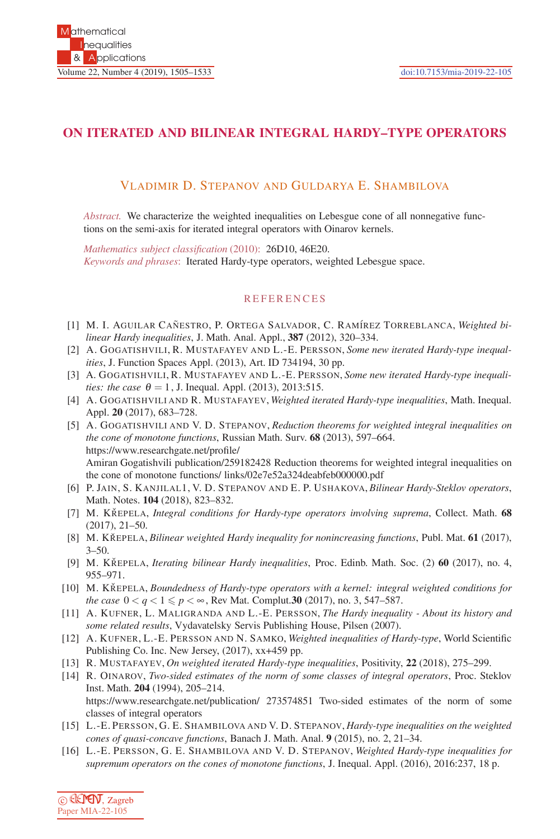## **ON ITERATED AND BILINEAR INTEGRAL HARDY–TYPE OPERATORS**

## VLADIMIR D. STEPANOV AND GULDARYA E. SHAMBILOVA

*Abstract.* We characterize the weighted inequalities on Lebesgue cone of all nonnegative functions on the semi-axis for iterated integral operators with Oinarov kernels.

*Mathematics subject classification* (2010): 26D10, 46E20. *Keywords and phrases*: Iterated Hardy-type operators, weighted Lebesgue space.

## REFERENCES

- [1] M. I. AGUILAR CAÑESTRO, P. ORTEGA SALVADOR, C. RAMÍREZ TORREBLANCA, *Weighted bilinear Hardy inequalities*, J. Math. Anal. Appl., **387** (2012), 320–334.
- [2] A. GOGATISHVILI, R. MUSTAFAYEV AND L.-E. PERSSON, *Some new iterated Hardy-type inequalities*, J. Function Spaces Appl. (2013), Art. ID 734194, 30 pp.
- [3] A. GOGATISHVILI, R. MUSTAFAYEV AND L.-E. PERSSON, *Some new iterated Hardy-type inequalities: the case*  $\theta = 1$ , J. Inequal. Appl. (2013), 2013:515.
- [4] A. GOGATISHVILI AND R. MUSTAFAYEV, *Weighted iterated Hardy-type inequalities*, Math. Inequal. Appl. **20** (2017), 683–728.
- [5] A. GOGATISHVILI AND V. D. STEPANOV, *Reduction theorems for weighted integral inequalities on the cone of monotone functions*, Russian Math. Surv. **68** (2013), 597–664. https://www.researchgate.net/profile/ Amiran Gogatishvili publication/259182428 Reduction theorems for weighted integral inequalities on the cone of monotone functions/ links/02e7e52a324deabfeb000000.pdf
- [6] P. JAIN, S. KANJILAL1, V. D. STEPANOV AND E. P. USHAKOVA, *Bilinear Hardy-Steklov operators*, Math. Notes. **104** (2018), 823–832.
- [7] M. KŘEPELA, *Integral conditions for Hardy-type operators involving suprema*, Collect. Math. 68 (2017), 21–50.
- [8] M. KŘEPELA, *Bilinear weighted Hardy inequality for nonincreasing functions*, Publ. Mat. 61 (2017),  $3 - 50.$
- [9] M. KŘEPELA, *Iterating bilinear Hardy inequalities*, Proc. Edinb. Math. Soc. (2) 60 (2017), no. 4, 955–971.
- [10] M. KŘEPELA, *Boundedness of Hardy-type operators with a kernel: integral weighted conditions for the case*  $0 < q < 1 \leq p < \infty$ , Rev Mat. Complut. **30** (2017), no. 3, 547–587.
- [11] A. KUFNER, L. MALIGRANDA AND L.-E. PERSSON, *The Hardy inequality About its history and some related results*, Vydavatelsky Servis Publishing House, Pilsen (2007).
- [12] A. KUFNER, L.-E. PERSSON AND N. SAMKO, *Weighted inequalities of Hardy-type*, World Scientific Publishing Co. Inc. New Jersey, (2017), xx+459 pp.
- [13] R. MUSTAFAYEV, *On weighted iterated Hardy-type inequalities*, Positivity, **22** (2018), 275–299.
- [14] R. OINAROV, *Two-sided estimates of the norm of some classes of integral operators*, Proc. Steklov Inst. Math. **204** (1994), 205–214. https://www.researchgate.net/publication/ 273574851 Two-sided estimates of the norm of some
- classes of integral operators [15] L.-E. PERSSON, G. E. SHAMBILOVA AND V. D. STEPANOV, *Hardy-type inequalities on the weighted cones of quasi-concave functions*, Banach J. Math. Anal. **9** (2015), no. 2, 21–34.
- [16] L.-E. PERSSON, G. E. SHAMBILOVA AND V. D. STEPANOV, *Weighted Hardy-type inequalities for supremum operators on the cones of monotone functions*, J. Inequal. Appl. (2016), 2016:237, 18 p.